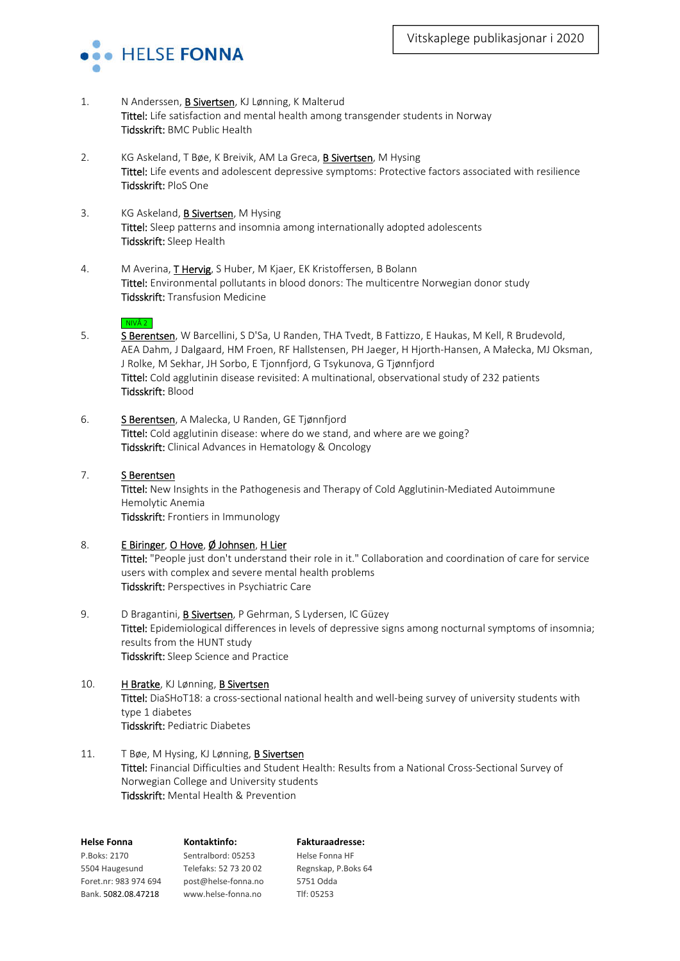

- 1. N Anderssen, **B Sivertsen**, KJ Lønning, K Malterud Tittel: Life satisfaction and mental health among transgender students in Norway Tidsskrift: BMC Public Health
- 2. KG Askeland, T Bøe, K Breivik, AM La Greca, **B Sivertsen**, M Hysing Tittel: Life events and adolescent depressive symptoms: Protective factors associated with resilience Tidsskrift: PloS One
- 3. KG Askeland, **B Sivertsen**, M Hysing Tittel: Sleep patterns and insomnia among internationally adopted adolescents Tidsskrift: Sleep Health
- 4. M Averina, **T Hervig**, S Huber, M Kjaer, EK Kristoffersen, B Bolann Tittel: Environmental pollutants in blood donors: The multicentre Norwegian donor study Tidsskrift: Transfusion Medicine

### NIVÅ 2

- 5. S Berentsen, W Barcellini, S D'Sa, U Randen, THA Tvedt, B Fattizzo, E Haukas, M Kell, R Brudevold, AEA Dahm, J Dalgaard, HM Froen, RF Hallstensen, PH Jaeger, H Hjorth-Hansen, A Małecka, MJ Oksman, J Rolke, M Sekhar, JH Sorbo, E Tjonnfjord, G Tsykunova, G Tjønnfjord Tittel: Cold agglutinin disease revisited: A multinational, observational study of 232 patients Tidsskrift: Blood
- 6. S Berentsen, A Malecka, U Randen, GE Tjønnfjord Tittel: Cold agglutinin disease: where do we stand, and where are we going? Tidsskrift: Clinical Advances in Hematology & Oncology

### 7. S Berentsen

Tittel: New Insights in the Pathogenesis and Therapy of Cold Agglutinin-Mediated Autoimmune Hemolytic Anemia Tidsskrift: Frontiers in Immunology

## 8. E Biringer, O Hove, Ø Johnsen, H Lier

Tittel: "People just don't understand their role in it." Collaboration and coordination of care for service users with complex and severe mental health problems Tidsskrift: Perspectives in Psychiatric Care

- 9. D Bragantini, **B Sivertsen**, P Gehrman, S Lydersen, IC Güzey Tittel: Epidemiological differences in levels of depressive signs among nocturnal symptoms of insomnia; results from the HUNT study Tidsskrift: Sleep Science and Practice
- 10. HBratke, KJ Lønning, B Sivertsen Tittel: DiaSHoT18: a cross-sectional national health and well-being survey of university students with type 1 diabetes Tidsskrift: Pediatric Diabetes
- 11. T Bøe, M Hysing, KJ Lønning, **B Sivertsen** Tittel: Financial Difficulties and Student Health: Results from a National Cross-Sectional Survey of Norwegian College and University students Tidsskrift: Mental Health & Prevention

| Kontaktinfo:          | <b>Fakturaadresse:</b> |
|-----------------------|------------------------|
| Sentralbord: 05253    | Helse Fonna HF         |
| Telefaks: 52 73 20 02 | Regnskap, P.Boks 64    |
| post@helse-fonna.no   | 5751 Odda              |
| www.helse-fonna.no    | Tlf: 05253             |
|                       |                        |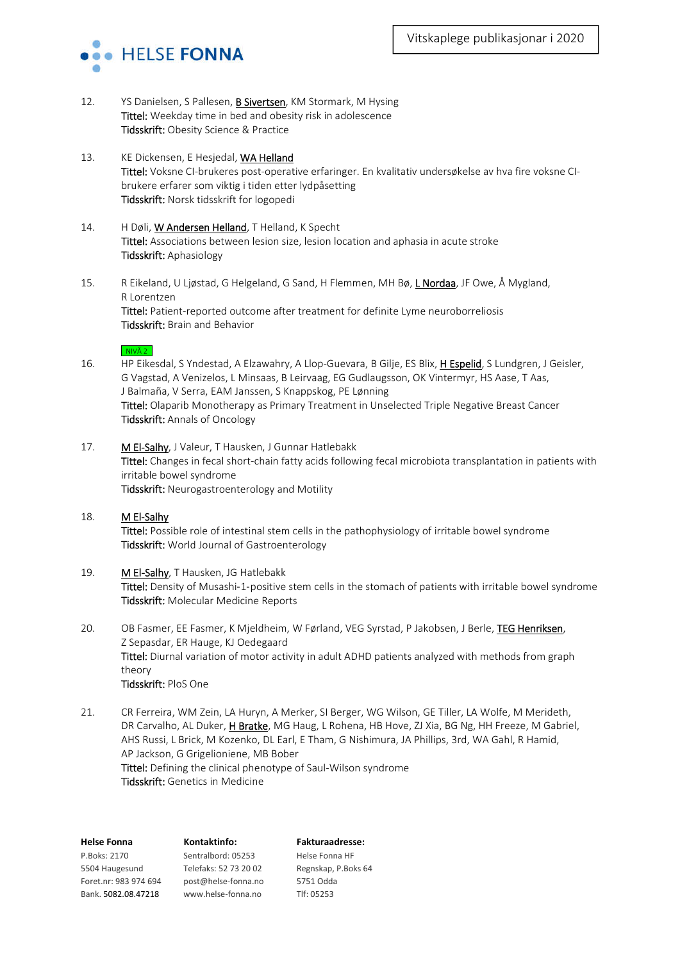

- 12. YS Danielsen, S Pallesen, B Sivertsen, KM Stormark, M Hysing Tittel: Weekday time in bed and obesity risk in adolescence Tidsskrift: Obesity Science & Practice
- 13. KE Dickensen, E Hesjedal, WA Helland Tittel: Voksne CI-brukeres post-operative erfaringer. En kvalitativ undersøkelse av hva fire voksne CIbrukere erfarer som viktig i tiden etter lydpåsetting Tidsskrift: Norsk tidsskrift for logopedi
- 14. H Døli, W Andersen Helland, T Helland, K Specht Tittel: Associations between lesion size, lesion location and aphasia in acute stroke Tidsskrift: Aphasiology
- 15. R Eikeland, U Ljøstad, G Helgeland, G Sand, H Flemmen, MH Bø, L Nordaa, JF Owe, Å Mygland, R Lorentzen Tittel: Patient-reported outcome after treatment for definite Lyme neuroborreliosis Tidsskrift: Brain and Behavior

#### $\overline{\phantom{a}}$  NIVÅ 2

- 16. HP Eikesdal, S Yndestad, A Elzawahry, A Llop-Guevara, B Gilje, ES Blix, H Espelid, S Lundgren, J Geisler, G Vagstad, A Venizelos, L Minsaas, B Leirvaag, EG Gudlaugsson, OK Vintermyr, HS Aase, T Aas, J Balmaña, V Serra, EAM Janssen, S Knappskog, PE Lønning Tittel: Olaparib Monotherapy as Primary Treatment in Unselected Triple Negative Breast Cancer Tidsskrift: Annals of Oncology
- 17. M El-Salhy, J Valeur, T Hausken, J Gunnar Hatlebakk Tittel: Changes in fecal short-chain fatty acids following fecal microbiota transplantation in patients with irritable bowel syndrome Tidsskrift: Neurogastroenterology and Motility
- 18. M El-Salhy Tittel: Possible role of intestinal stem cells in the pathophysiology of irritable bowel syndrome Tidsskrift: World Journal of Gastroenterology
- 19. M El-Salhy, T Hausken, JG Hatlebakk Tittel: Density of Musashi-1-positive stem cells in the stomach of patients with irritable bowel syndrome Tidsskrift: Molecular Medicine Reports
- 20. OB Fasmer, EE Fasmer, K Mjeldheim, W Førland, VEG Syrstad, P Jakobsen, J Berle, TEG Henriksen, Z Sepasdar, ER Hauge, KJ Oedegaard Tittel: Diurnal variation of motor activity in adult ADHD patients analyzed with methods from graph theory Tidsskrift: PloS One
- 21. CR Ferreira, WM Zein, LA Huryn, A Merker, SI Berger, WG Wilson, GE Tiller, LA Wolfe, M Merideth, DR Carvalho, AL Duker, H Bratke, MG Haug, L Rohena, HB Hove, ZJ Xia, BG Ng, HH Freeze, M Gabriel, AHS Russi, L Brick, M Kozenko, DL Earl, E Tham, G Nishimura, JA Phillips, 3rd, WA Gahl, R Hamid, AP Jackson, G Grigelioniene, MB Bober Tittel: Defining the clinical phenotype of Saul-Wilson syndrome Tidsskrift: Genetics in Medicine

| <b>Helse Fonna</b>    | Kontaktinfo:          | <b>Fakturaadresse:</b> |
|-----------------------|-----------------------|------------------------|
| P.Boks: 2170          | Sentralbord: 05253    | Helse Fonna HF         |
| 5504 Haugesund        | Telefaks: 52 73 20 02 | Regnskap, P.Boks 64    |
| Foret.nr: 983 974 694 | post@helse-fonna.no   | 5751 Odda              |
| Bank. 5082.08.47218   | www.helse-fonna.no    | Tlf: 05253             |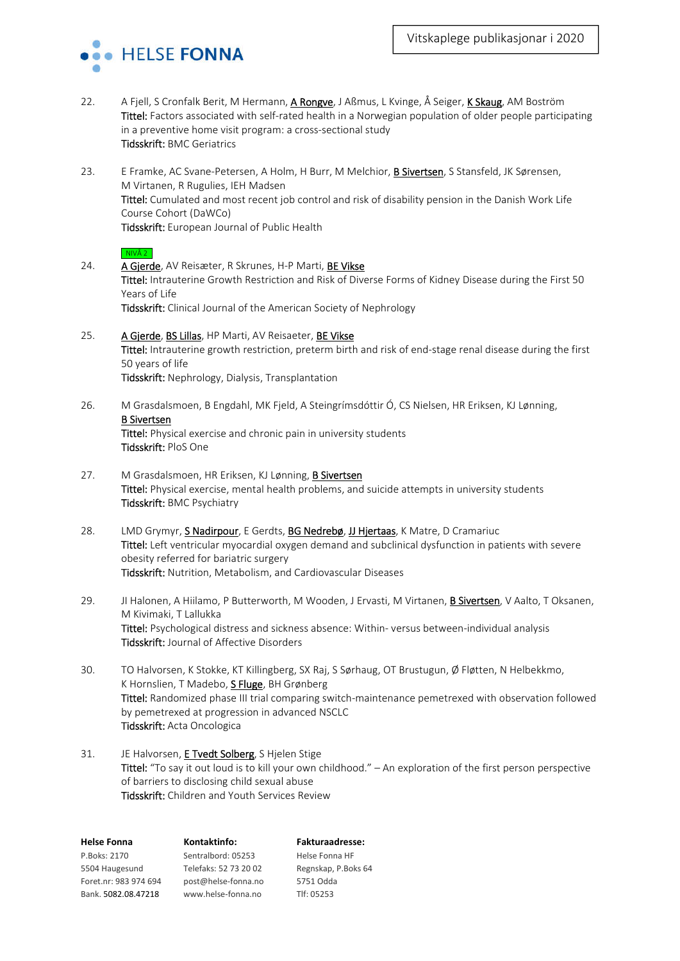

- 22. A Fjell, S Cronfalk Berit, M Hermann, A Rongve, J Aßmus, L Kvinge, Å Seiger, K Skaug, AM Boström Tittel: Factors associated with self-rated health in a Norwegian population of older people participating in a preventive home visit program: a cross-sectional study Tidsskrift: BMC Geriatrics
- 23. E Framke, AC Svane-Petersen, A Holm, H Burr, M Melchior, B Sivertsen, S Stansfeld, JK Sørensen, M Virtanen, R Rugulies, IEH Madsen Tittel: Cumulated and most recent job control and risk of disability pension in the Danish Work Life Course Cohort (DaWCo) Tidsskrift: European Journal of Public Health

```
\overline{\phantom{a}} NIVÅ 2
```
- 24. A Gjerde, AV Reisæter, R Skrunes, H-P Marti, BE Vikse Tittel: Intrauterine Growth Restriction and Risk of Diverse Forms of Kidney Disease during the First 50 Years of Life Tidsskrift: Clinical Journal of the American Society of Nephrology
- 25. A Gjerde, BS Lillas, HP Marti, AV Reisaeter, BE Vikse Tittel: Intrauterine growth restriction, preterm birth and risk of end-stage renal disease during the first 50 years of life Tidsskrift: Nephrology, Dialysis, Transplantation
- 26. M Grasdalsmoen, B Engdahl, MK Fjeld, A Steingrímsdóttir Ó, CS Nielsen, HR Eriksen, KJ Lønning, B Sivertsen Tittel: Physical exercise and chronic pain in university students Tidsskrift: PloS One
- 27. M Grasdalsmoen, HR Eriksen, KJ Lønning, B Sivertsen Tittel: Physical exercise, mental health problems, and suicide attempts in university students Tidsskrift: BMC Psychiatry
- 28. LMD Grymyr, **S Nadirpour**, E Gerdts, **BG Nedrebø, JJ Hjertaas**, K Matre, D Cramariuc Tittel: Left ventricular myocardial oxygen demand and subclinical dysfunction in patients with severe obesity referred for bariatric surgery Tidsskrift: Nutrition, Metabolism, and Cardiovascular Diseases
- 29. JI Halonen, A Hiilamo, P Butterworth, M Wooden, J Ervasti, M Virtanen, B Sivertsen, V Aalto, T Oksanen, M Kivimaki, T Lallukka Tittel: Psychological distress and sickness absence: Within- versus between-individual analysis Tidsskrift: Journal of Affective Disorders
- 30. TO Halvorsen, K Stokke, KT Killingberg, SX Raj, S Sørhaug, OT Brustugun, Ø Fløtten, N Helbekkmo, K Hornslien, T Madebo, S Fluge, BH Grønberg Tittel: Randomized phase III trial comparing switch-maintenance pemetrexed with observation followed by pemetrexed at progression in advanced NSCLC Tidsskrift: Acta Oncologica
- 31. JE Halvorsen, **E Tvedt Solberg**, S Hjelen Stige Tittel: "To say it out loud is to kill your own childhood." – An exploration of the first person perspective of barriers to disclosing child sexual abuse Tidsskrift: Children and Youth Services Review

| <b>Helse Fonna</b>    | Kontaktinfo:          | <b>Fakturaadresse:</b> |
|-----------------------|-----------------------|------------------------|
| P.Boks: 2170          | Sentralbord: 05253    | Helse Fonna HF         |
| 5504 Haugesund        | Telefaks: 52 73 20 02 | Regnskap, P.Boks 64    |
| Foret.nr: 983 974 694 | post@helse-fonna.no   | 5751 Odda              |
| Bank. 5082.08.47218   | www.helse-fonna.no    | Tlf: 05253             |
|                       |                       |                        |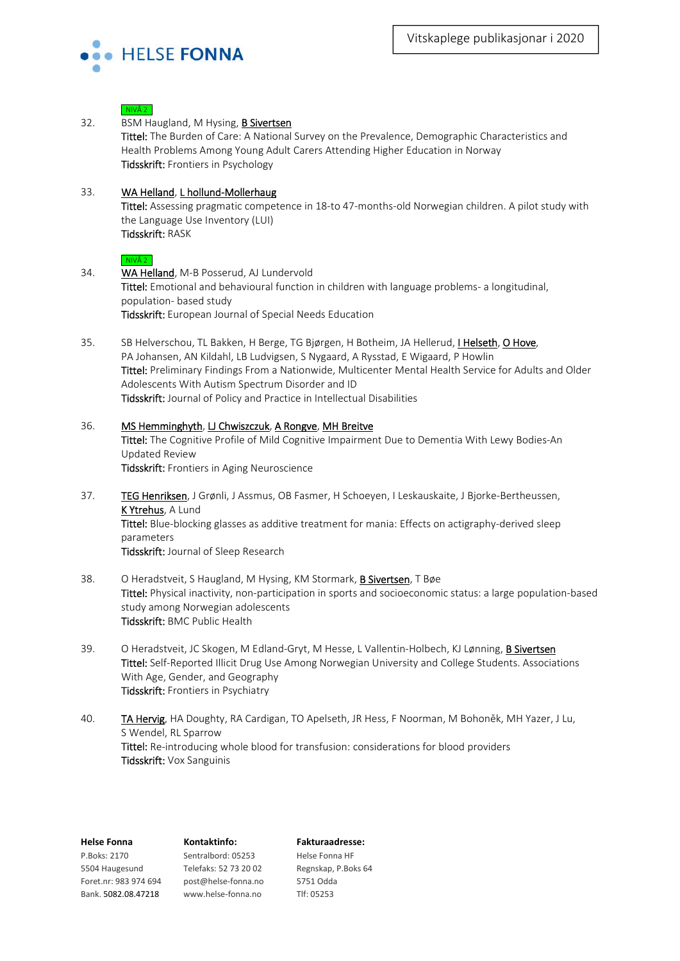

# $NIVÅ 2$ 32. BSM Haugland, M Hysing, **B Sivertsen** Tittel: The Burden of Care: A National Survey on the Prevalence, Demographic Characteristics and Health Problems Among Young Adult Carers Attending Higher Education in Norway Tidsskrift: Frontiers in Psychology 33. WA Helland, L hollund-Mollerhaug Tittel: Assessing pragmatic competence in 18-to 47-months-old Norwegian children. A pilot study with the Language Use Inventory (LUI) Tidsskrift: RASK  $\overline{\phantom{a}}$  NIVÅ 2 34. WA Helland, M-B Posserud, AJ Lundervold Tittel: Emotional and behavioural function in children with language problems- a longitudinal, population- based study Tidsskrift: European Journal of Special Needs Education 35. SB Helverschou, TL Bakken, H Berge, TG Bjørgen, H Botheim, JA Hellerud, I Helseth, O Hove, PA Johansen, AN Kildahl, LB Ludvigsen, S Nygaard, A Rysstad, E Wigaard, P Howlin Tittel: Preliminary Findings From a Nationwide, Multicenter Mental Health Service for Adults and Older Adolescents With Autism Spectrum Disorder and ID Tidsskrift: Journal of Policy and Practice in Intellectual Disabilities 36. MS Hemminghyth, LJ Chwiszczuk, A Rongve, MH Breitve Tittel: The Cognitive Profile of Mild Cognitive Impairment Due to Dementia With Lewy Bodies-An Updated Review Tidsskrift: Frontiers in Aging Neuroscience 37. TEG Henriksen, J Grønli, J Assmus, OB Fasmer, H Schoeyen, I Leskauskaite, J Bjorke-Bertheussen, K Ytrehus, A Lund Tittel: Blue-blocking glasses as additive treatment for mania: Effects on actigraphy-derived sleep parameters Tidsskrift: Journal of Sleep Research 38. O Heradstveit, S Haugland, M Hysing, KM Stormark, **B Sivertsen**, T Bøe Tittel: Physical inactivity, non-participation in sports and socioeconomic status: a large population-based study among Norwegian adolescents Tidsskrift: BMC Public Health 39. O Heradstveit, JC Skogen, M Edland-Gryt, M Hesse, L Vallentin-Holbech, KJ Lønning, B Sivertsen Tittel: Self-Reported Illicit Drug Use Among Norwegian University and College Students. Associations With Age, Gender, and Geography Tidsskrift: Frontiers in Psychiatry 40. TA Hervig, HA Doughty, RA Cardigan, TO Apelseth, JR Hess, F Noorman, M Bohoněk, MH Yazer, J Lu, S Wendel, RL Sparrow Tittel: Re-introducing whole blood for transfusion: considerations for blood providers Tidsskrift: Vox Sanguinis

| I ICIJC I VIIII 1     | יש         |
|-----------------------|------------|
| P.Boks: 2170          | Sen        |
| 5504 Haugesund        | <b>Tel</b> |
| Foret.nr: 983 974 694 | pos        |
| Bank. 5082.08.47218   | <b>WW</b>  |

**Helse Fonna Kontaktinfo: Fakturaadresse:** P.Boks: 2170 Sentralbord: 05253 Helse Fonna HF st@helse-fonna.no 5751 Odda w.helse-fonna.no Tlf: 05253

efaks: 52 73 20 02 Regnskap, P.Boks 64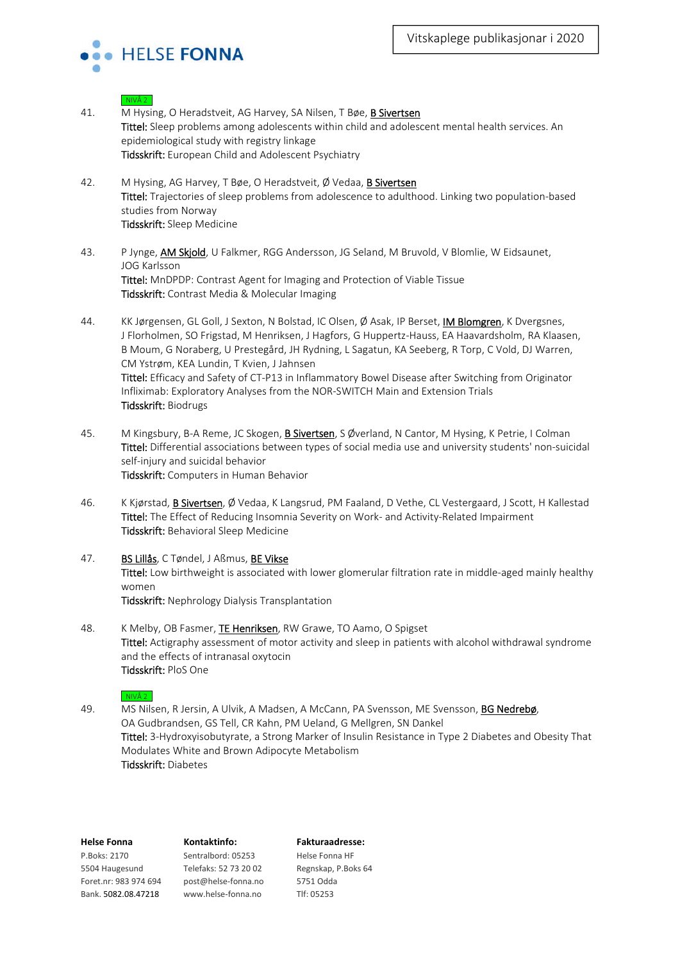

# $\overline{\phantom{a}}$  NIVÅ 2 41. M Hysing, O Heradstveit, AG Harvey, SA Nilsen, T Bøe, B Sivertsen Tittel: Sleep problems among adolescents within child and adolescent mental health services. An epidemiological study with registry linkage Tidsskrift: European Child and Adolescent Psychiatry 42. M Hysing, AG Harvey, T Bøe, O Heradstveit, Ø Vedaa, B Sivertsen Tittel: Trajectories of sleep problems from adolescence to adulthood. Linking two population-based studies from Norway Tidsskrift: Sleep Medicine 43. P Jynge, AM Skjold, U Falkmer, RGG Andersson, JG Seland, M Bruvold, V Blomlie, W Eidsaunet, JOG Karlsson Tittel: MnDPDP: Contrast Agent for Imaging and Protection of Viable Tissue Tidsskrift: Contrast Media & Molecular Imaging 44. KK Jørgensen, GL Goll, J Sexton, N Bolstad, IC Olsen, Ø Asak, IP Berset, IM Blomgren, K Dvergsnes, J Florholmen, SO Frigstad, M Henriksen, J Hagfors, G Huppertz-Hauss, EA Haavardsholm, RA Klaasen, B Moum, G Noraberg, U Prestegård, JH Rydning, L Sagatun, KA Seeberg, R Torp, C Vold, DJ Warren, CM Ystrøm, KEA Lundin, T Kvien, J Jahnsen Tittel: Efficacy and Safety of CT-P13 in Inflammatory Bowel Disease after Switching from Originator Infliximab: Exploratory Analyses from the NOR-SWITCH Main and Extension Trials Tidsskrift: Biodrugs 45. M Kingsbury, B-A Reme, JC Skogen, B Sivertsen, S Øverland, N Cantor, M Hysing, K Petrie, I Colman

- Tittel: Differential associations between types of social media use and university students' non-suicidal self-injury and suicidal behavior Tidsskrift: Computers in Human Behavior
- 46. K Kjørstad, B Sivertsen, Ø Vedaa, K Langsrud, PM Faaland, D Vethe, CL Vestergaard, J Scott, H Kallestad Tittel: The Effect of Reducing Insomnia Severity on Work- and Activity-Related Impairment Tidsskrift: Behavioral Sleep Medicine
- 47. BS Lillås, C Tøndel, J Aßmus, BE Vikse Tittel: Low birthweight is associated with lower glomerular filtration rate in middle-aged mainly healthy women Tidsskrift: Nephrology Dialysis Transplantation
- 48. K Melby, OB Fasmer, TE Henriksen, RW Grawe, TO Aamo, O Spigset Tittel: Actigraphy assessment of motor activity and sleep in patients with alcohol withdrawal syndrome and the effects of intranasal oxytocin Tidsskrift: PloS One

### $NIVÅ 2$

49. MS Nilsen, R Jersin, A Ulvik, A Madsen, A McCann, PA Svensson, ME Svensson, BG Nedrebø, OA Gudbrandsen, GS Tell, CR Kahn, PM Ueland, G Mellgren, SN Dankel Tittel: 3-Hydroxyisobutyrate, a Strong Marker of Insulin Resistance in Type 2 Diabetes and Obesity That Modulates White and Brown Adipocyte Metabolism Tidsskrift: Diabetes

| <b>Helse Fonna</b>    | Kontaktinfo:          | <b>Fakturaadresse:</b> |
|-----------------------|-----------------------|------------------------|
| P.Boks: 2170          | Sentralbord: 05253    | Helse Fonna HF         |
| 5504 Haugesund        | Telefaks: 52 73 20 02 | Regnskap, P.Boks 64    |
| Foret.nr: 983 974 694 | post@helse-fonna.no   | 5751 Odda              |
| Bank. 5082.08.47218   | www.helse-fonna.no    | Tlf: 05253             |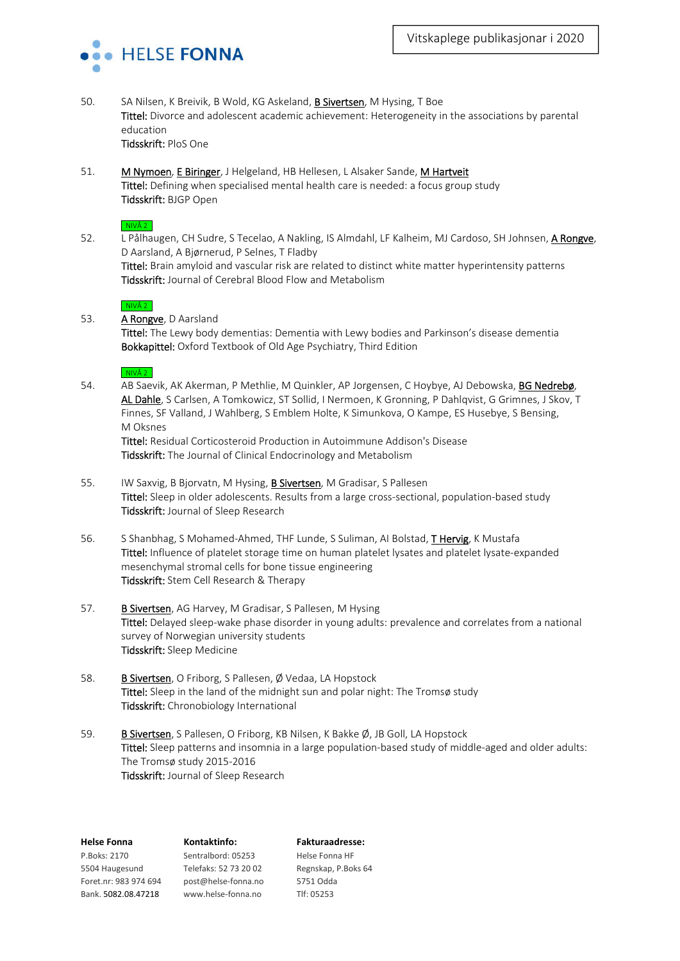

- 50. SA Nilsen, K Breivik, B Wold, KG Askeland, B Sivertsen, M Hysing, T Boe Tittel: Divorce and adolescent academic achievement: Heterogeneity in the associations by parental education Tidsskrift: PloS One
- 51. M Nymoen, E Biringer, J Helgeland, HB Hellesen, L Alsaker Sande, M Hartveit Tittel: Defining when specialised mental health care is needed: a focus group study Tidsskrift: BJGP Open

#### $NIVÅ 2$

52. L Pålhaugen, CH Sudre, S Tecelao, A Nakling, IS Almdahl, LF Kalheim, MJ Cardoso, SH Johnsen, A Rongve, D Aarsland, A Bjørnerud, P Selnes, T Fladby Tittel: Brain amyloid and vascular risk are related to distinct white matter hyperintensity patterns Tidsskrift: Journal of Cerebral Blood Flow and Metabolism

# $NIVÅ 2$

53. **A Rongve**, D Aarsland

Tittel: The Lewy body dementias: Dementia with Lewy bodies and Parkinson's disease dementia Bokkapittel: Oxford Textbook of Old Age Psychiatry, Third Edition

 $NIVÅ 2$ 

54. AB Saevik, AK Akerman, P Methlie, M Quinkler, AP Jorgensen, C Hoybye, AJ Debowska, BG Nedrebø, AL Dahle, S Carlsen, A Tomkowicz, ST Sollid, I Nermoen, K Gronning, P Dahlqvist, G Grimnes, J Skov, T Finnes, SF Valland, J Wahlberg, S Emblem Holte, K Simunkova, O Kampe, ES Husebye, S Bensing, M Oksnes

Tittel: Residual Corticosteroid Production in Autoimmune Addison's Disease Tidsskrift: The Journal of Clinical Endocrinology and Metabolism

- 55. IW Saxvig, B Bjorvatn, M Hysing, B Sivertsen, M Gradisar, S Pallesen Tittel: Sleep in older adolescents. Results from a large cross-sectional, population-based study Tidsskrift: Journal of Sleep Research
- 56. S Shanbhag, S Mohamed-Ahmed, THF Lunde, S Suliman, AI Bolstad, T Hervig, K Mustafa Tittel: Influence of platelet storage time on human platelet lysates and platelet lysate-expanded mesenchymal stromal cells for bone tissue engineering Tidsskrift: Stem Cell Research & Therapy
- 57. B Sivertsen, AG Harvey, M Gradisar, S Pallesen, M Hysing Tittel: Delayed sleep-wake phase disorder in young adults: prevalence and correlates from a national survey of Norwegian university students Tidsskrift: Sleep Medicine
- 58. B Sivertsen, O Friborg, S Pallesen, Ø Vedaa, LA Hopstock Tittel: Sleep in the land of the midnight sun and polar night: The Tromsø study Tidsskrift: Chronobiology International
- 59. B Sivertsen, S Pallesen, O Friborg, KB Nilsen, K Bakke Ø, JB Goll, LA Hopstock Tittel: Sleep patterns and insomnia in a large population-based study of middle-aged and older adults: The Tromsø study 2015-2016 Tidsskrift: Journal of Sleep Research

| <b>Helse Fonna</b>    | Kontaktinfo:          | <b>Fakturaadresse:</b> |
|-----------------------|-----------------------|------------------------|
| P.Boks: 2170          | Sentralbord: 05253    | Helse Fonna HF         |
| 5504 Haugesund        | Telefaks: 52 73 20 02 | Regnskap, P.Boks 64    |
| Foret.nr: 983 974 694 | post@helse-fonna.no   | 5751 Odda              |
| Bank. 5082.08.47218   | www.helse-fonna.no    | Tlf: 05253             |